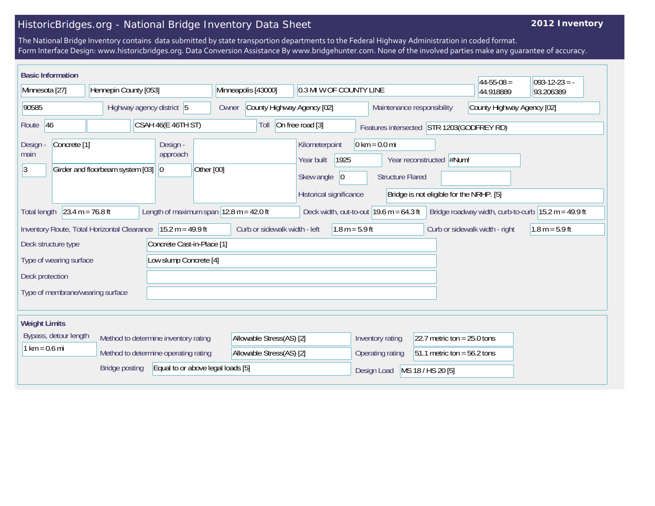## HistoricBridges.org - National Bridge Inventory Data Sheet

## **2012 Inventory**

The National Bridge Inventory contains data submitted by state transportion departments to the Federal Highway Administration in coded format. Form Interface Design: www.historicbridges.org. Data Conversion Assistance By www.bridgehunter.com. None of the involved parties make any guarantee of accuracy.

| <b>Basic Information</b>             |                         |                                             |  |                                      |                                           |                                     |  |                                                                       |                     |                                                          |                                           |                                                                      | $44 - 55 - 08 =$ | $ 093-12-23 = -$                                      |
|--------------------------------------|-------------------------|---------------------------------------------|--|--------------------------------------|-------------------------------------------|-------------------------------------|--|-----------------------------------------------------------------------|---------------------|----------------------------------------------------------|-------------------------------------------|----------------------------------------------------------------------|------------------|-------------------------------------------------------|
| Minnesota [27]                       |                         | Hennepin County [053]                       |  |                                      |                                           | Minneapolis [43000]                 |  | 0.3 MI W OF COUNTY LINE                                               |                     |                                                          |                                           |                                                                      | 44.918889        | 93.206389                                             |
| 90585                                |                         | Highway agency district 5                   |  |                                      |                                           | County Highway Agency [02]<br>Owner |  |                                                                       |                     | County Highway Agency [02]<br>Maintenance responsibility |                                           |                                                                      |                  |                                                       |
| Route 46                             |                         |                                             |  | CSAH 46(E 46TH ST)                   |                                           | Toll                                |  | On free road [3]                                                      |                     |                                                          |                                           | Features intersected STR 1203(GODFREY RD)                            |                  |                                                       |
| <b>Design</b><br>main<br>$ 3\rangle$ | Concrete <sup>[1]</sup> | Girder and floorbeam system [03]            |  | Design -<br>approach<br>$ 0\rangle$  | Other [00]                                |                                     |  | Kilometerpoint<br>Year built<br>Skew angle<br>Historical significance | 1925<br>$ 0\rangle$ | $0 \text{ km} = 0.0 \text{ mi}$                          | <b>Structure Flared</b>                   | Year reconstructed #Num!<br>Bridge is not eligible for the NRHP. [5] |                  |                                                       |
| <b>Total length</b>                  | $23.4 m = 76.8 ft$      |                                             |  |                                      | Length of maximum span $12.8$ m = 42.0 ft |                                     |  |                                                                       |                     |                                                          | Deck width, out-to-out $19.6$ m = 64.3 ft |                                                                      |                  | Bridge roadway width, curb-to-curb $15.2 m = 49.9 ft$ |
|                                      |                         | Inventory Route, Total Horizontal Clearance |  | $15.2 m = 49.9 ft$                   |                                           | Curb or sidewalk width - left       |  |                                                                       | $1.8 m = 5.9 ft$    |                                                          |                                           | Curb or sidewalk width - right                                       |                  | $1.8 m = 5.9 ft$                                      |
|                                      | Deck structure type     |                                             |  | Concrete Cast-in-Place [1]           |                                           |                                     |  |                                                                       |                     |                                                          |                                           |                                                                      |                  |                                                       |
|                                      | Type of wearing surface |                                             |  | Low slump Concrete [4]               |                                           |                                     |  |                                                                       |                     |                                                          |                                           |                                                                      |                  |                                                       |
| Deck protection                      |                         |                                             |  |                                      |                                           |                                     |  |                                                                       |                     |                                                          |                                           |                                                                      |                  |                                                       |
|                                      |                         | Type of membrane/wearing surface            |  |                                      |                                           |                                     |  |                                                                       |                     |                                                          |                                           |                                                                      |                  |                                                       |
| <b>Weight Limits</b>                 |                         |                                             |  |                                      |                                           |                                     |  |                                                                       |                     |                                                          |                                           |                                                                      |                  |                                                       |
|                                      | Bypass, detour length   |                                             |  | Method to determine inventory rating |                                           | Allowable Stress(AS) [2]            |  |                                                                       |                     |                                                          | Inventory rating                          | 22.7 metric ton = $25.0$ tons                                        |                  |                                                       |
| $1 km = 0.6 mi$                      |                         |                                             |  | Method to determine operating rating |                                           | Allowable Stress(AS) [2]            |  |                                                                       |                     |                                                          | Operating rating                          | $51.1$ metric ton = 56.2 tons                                        |                  |                                                       |
|                                      |                         | <b>Bridge posting</b>                       |  |                                      | Equal to or above legal loads [5]         |                                     |  |                                                                       |                     | Design Load                                              |                                           | MS 18 / HS 20 [5]                                                    |                  |                                                       |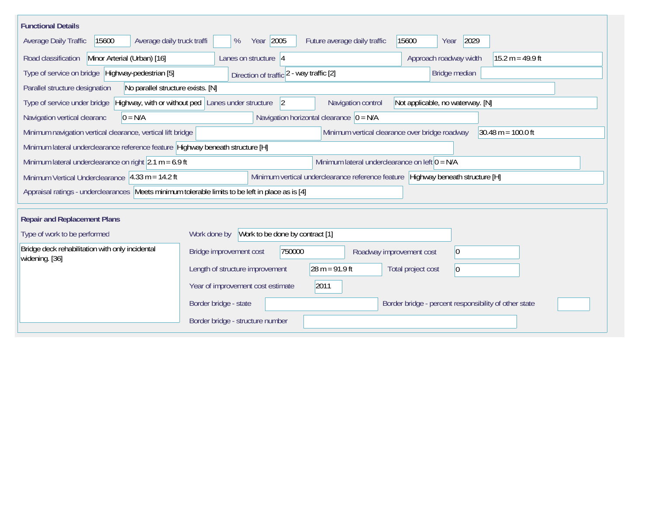| <b>Functional Details</b>                                                                        |                                                                                                                    |
|--------------------------------------------------------------------------------------------------|--------------------------------------------------------------------------------------------------------------------|
| Average daily truck traffi<br>Average Daily Traffic<br>15600                                     | Year 2005<br>Future average daily traffic<br>15600<br>2029<br>%<br>Year                                            |
| Road classification<br>Minor Arterial (Urban) [16]                                               | Approach roadway width<br>Lanes on structure $ 4$<br>$15.2 m = 49.9 ft$                                            |
| Type of service on bridge Highway-pedestrian [5]                                                 | Bridge median<br>Direction of traffic 2 - way traffic [2]                                                          |
| Parallel structure designation<br>No parallel structure exists. [N]                              |                                                                                                                    |
| Type of service under bridge                                                                     | Highway, with or without ped Lanes under structure<br>Navigation control<br>Not applicable, no waterway. [N]<br> 2 |
| Navigation vertical clearanc<br>$0 = N/A$                                                        | Navigation horizontal clearance $ 0 = N/A $                                                                        |
| Minimum navigation vertical clearance, vertical lift bridge                                      | Minimum vertical clearance over bridge roadway<br>$30.48 \text{ m} = 100.0 \text{ ft}$                             |
| Minimum lateral underclearance reference feature Highway beneath structure [H]                   |                                                                                                                    |
| Minimum lateral underclearance on right $2.1 m = 6.9 ft$                                         | Minimum lateral underclearance on left $0 = N/A$                                                                   |
| Minimum Vertical Underclearance $ 4.33 \text{ m} = 14.2 \text{ ft} $                             | Minimum vertical underclearance reference feature Highway beneath structure [H]                                    |
| Appraisal ratings - underclearances Meets minimum tolerable limits to be left in place as is [4] |                                                                                                                    |
| <b>Repair and Replacement Plans</b>                                                              |                                                                                                                    |
| Type of work to be performed                                                                     | Work to be done by contract [1]<br>Work done by                                                                    |
| Bridge deck rehabilitation with only incidental                                                  | Bridge improvement cost<br>750000<br>$\overline{0}$<br>Roadway improvement cost                                    |
| widening. [36]                                                                                   | $28 m = 91.9 ft$<br>Length of structure improvement<br>Total project cost<br>$\vert$ 0                             |
|                                                                                                  | Year of improvement cost estimate<br>2011                                                                          |
|                                                                                                  | Border bridge - percent responsibility of other state<br>Border bridge - state                                     |
|                                                                                                  | Border bridge - structure number                                                                                   |